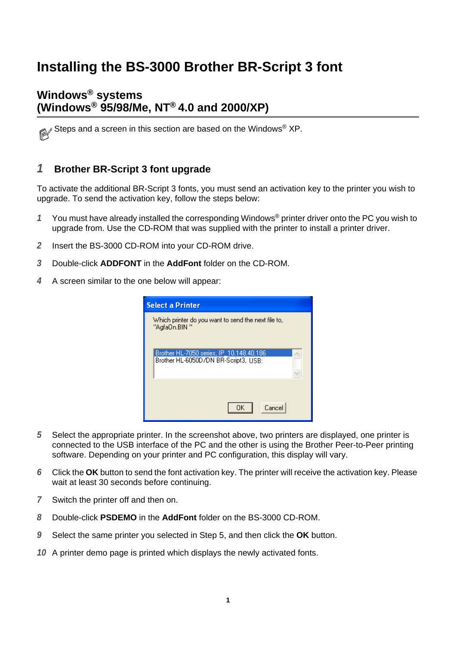# **Installing the BS-3000 Brother BR-Script 3 font**

### **Windows® systems (Windows® 95/98/Me, NT® 4.0 and 2000/XP)**

Steps and a screen in this section are based on the Windows® XP.

### **1 Brother BR-Script 3 font upgrade**

To activate the additional BR-Script 3 fonts, you must send an activation key to the printer you wish to upgrade. To send the activation key, follow the steps below:

- **1** You must have already installed the corresponding Windows® printer driver onto the PC you wish to upgrade from. Use the CD-ROM that was supplied with the printer to install a printer driver.
- **2** Insert the BS-3000 CD-ROM into your CD-ROM drive.
- **3** Double-click **ADDFONT** in the **AddFont** folder on the CD-ROM.
- **4** A screen similar to the one below will appear:

| <b>Select a Printer</b>                                                          |  |
|----------------------------------------------------------------------------------|--|
| Which printer do you want to send the next file to,<br>"AgfaOn.BIN"              |  |
| Brother HL-7050 series, IP 10.148.40.186<br>Brother HL-6050D/DN BR-Script3, USB; |  |
| Cancel<br>ΠK                                                                     |  |

- **5** Select the appropriate printer. In the screenshot above, two printers are displayed, one printer is connected to the USB interface of the PC and the other is using the Brother Peer-to-Peer printing software. Depending on your printer and PC configuration, this display will vary.
- **6** Click the **OK** button to send the font activation key. The printer will receive the activation key. Please wait at least 30 seconds before continuing.
- **7** Switch the printer off and then on.
- **8** Double-click **PSDEMO** in the **AddFont** folder on the BS-3000 CD-ROM.
- **9** Select the same printer you selected in Step 5, and then click the **OK** button.
- **10** A printer demo page is printed which displays the newly activated fonts.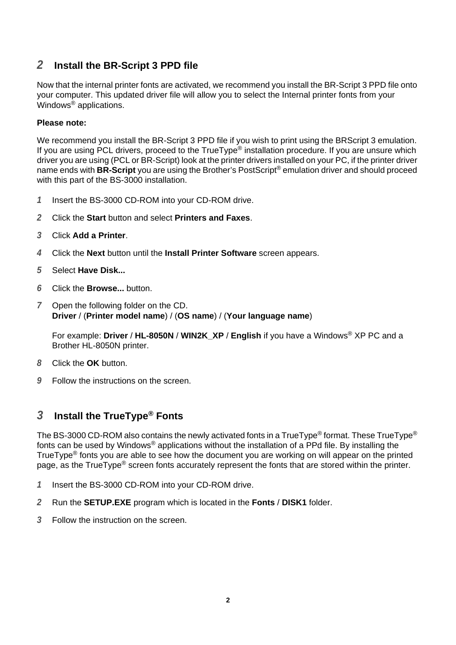### **2 Install the BR-Script 3 PPD file**

Now that the internal printer fonts are activated, we recommend you install the BR-Script 3 PPD file onto your computer. This updated driver file will allow you to select the Internal printer fonts from your Windows® applications.

#### **Please note:**

We recommend you install the BR-Script 3 PPD file if you wish to print using the BRScript 3 emulation. If you are using PCL drivers, proceed to the TrueType<sup>®</sup> installation procedure. If you are unsure which driver you are using (PCL or BR-Script) look at the printer drivers installed on your PC, if the printer driver name ends with **BR-Script** you are using the Brother's PostScript® emulation driver and should proceed with this part of the BS-3000 installation.

- **1** Insert the BS-3000 CD-ROM into your CD-ROM drive.
- **2** Click the **Start** button and select **Printers and Faxes**.
- **3** Click **Add a Printer**.
- **4** Click the **Next** button until the **Install Printer Software** screen appears.
- **5** Select **Have Disk...**
- **6** Click the **Browse...** button.
- **7** Open the following folder on the CD. **Driver** / (**Printer model name**) / (**OS name**) / (**Your language name**)

For example: **Driver** / **HL-8050N** / **WIN2K\_XP** / **English** if you have a Windows® XP PC and a Brother HL-8050N printer.

- **8** Click the **OK** button.
- **9** Follow the instructions on the screen.

# **3 Install the TrueType® Fonts**

The BS-3000 CD-ROM also contains the newly activated fonts in a TrueType<sup>®</sup> format. These TrueType<sup>®</sup> fonts can be used by Windows® applications without the installation of a PPd file. By installing the TrueType® fonts you are able to see how the document you are working on will appear on the printed page, as the TrueType® screen fonts accurately represent the fonts that are stored within the printer.

- **1** Insert the BS-3000 CD-ROM into your CD-ROM drive.
- **2** Run the **SETUP.EXE** program which is located in the **Fonts** / **DISK1** folder.
- **3** Follow the instruction on the screen.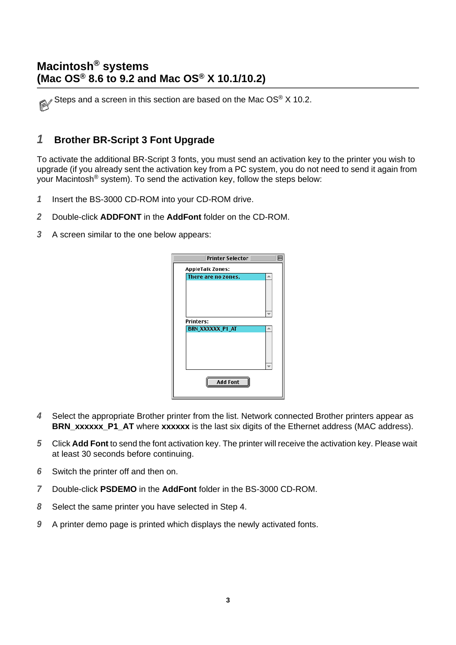Steps and a screen in this section are based on the Mac OS<sup>®</sup> X 10.2.

### **1 Brother BR-Script 3 Font Upgrade**

To activate the additional BR-Script 3 fonts, you must send an activation key to the printer you wish to upgrade (if you already sent the activation key from a PC system, you do not need to send it again from your Macintosh® system). To send the activation key, follow the steps below:

- **1** Insert the BS-3000 CD-ROM into your CD-ROM drive.
- **2** Double-click **ADDFONT** in the **AddFont** folder on the CD-ROM.
- **3** A screen similar to the one below appears:



- **4** Select the appropriate Brother printer from the list. Network connected Brother printers appear as **BRN\_xxxxxx\_P1\_AT** where **xxxxxx** is the last six digits of the Ethernet address (MAC address).
- **5** Click **Add Font** to send the font activation key. The printer will receive the activation key. Please wait at least 30 seconds before continuing.
- **6** Switch the printer off and then on.
- **7** Double-click **PSDEMO** in the **AddFont** folder in the BS-3000 CD-ROM.
- **8** Select the same printer you have selected in Step 4.
- **9** A printer demo page is printed which displays the newly activated fonts.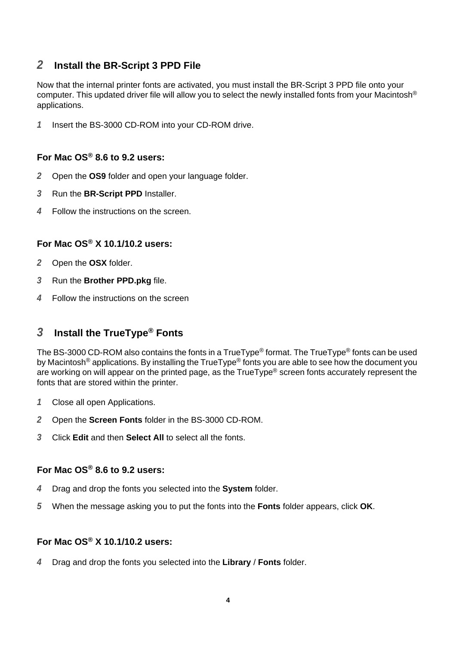### **2 Install the BR-Script 3 PPD File**

Now that the internal printer fonts are activated, you must install the BR-Script 3 PPD file onto your computer. This updated driver file will allow you to select the newly installed fonts from your Macintosh® applications.

**1** Insert the BS-3000 CD-ROM into your CD-ROM drive.

#### **For Mac OS® 8.6 to 9.2 users:**

- **2** Open the **OS9** folder and open your language folder.
- **3** Run the **BR-Script PPD** Installer.
- **4** Follow the instructions on the screen.

### **For Mac OS® X 10.1/10.2 users:**

- **2** Open the **OSX** folder.
- **3** Run the **Brother PPD.pkg** file.
- **4** Follow the instructions on the screen

# **3 Install the TrueType® Fonts**

The BS-3000 CD-ROM also contains the fonts in a TrueType<sup>®</sup> format. The TrueType<sup>®</sup> fonts can be used by Macintosh<sup>®</sup> applications. By installing the TrueType<sup>®</sup> fonts you are able to see how the document you are working on will appear on the printed page, as the TrueType® screen fonts accurately represent the fonts that are stored within the printer.

- **1** Close all open Applications.
- **2** Open the **Screen Fonts** folder in the BS-3000 CD-ROM.
- **3** Click **Edit** and then **Select All** to select all the fonts.

### **For Mac OS® 8.6 to 9.2 users:**

- **4** Drag and drop the fonts you selected into the **System** folder.
- **5** When the message asking you to put the fonts into the **Fonts** folder appears, click **OK**.

#### **For Mac OS® X 10.1/10.2 users:**

**4** Drag and drop the fonts you selected into the **Library** / **Fonts** folder.